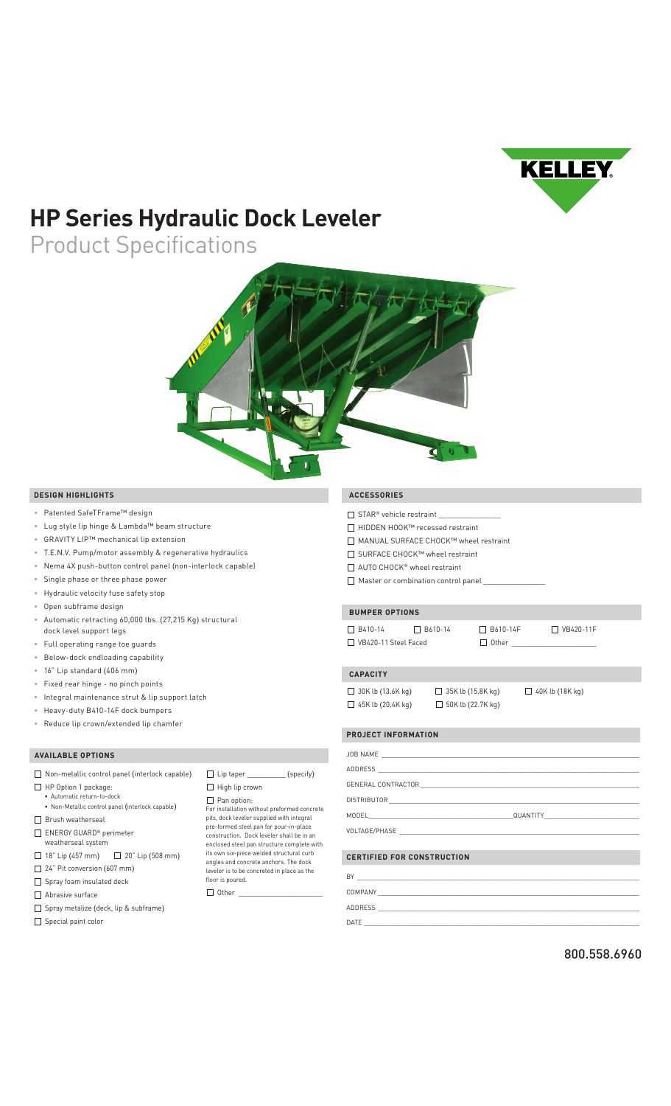

# **HP Series Hydraulic Dock Leveler**

Product Specifications



### **DESIGN HIGHLIGHTS**

- Patented SafeTFrame™ design
- Lug style lip hinge & Lambda™ beam structure
- GRAVITY LIP™ mechanical lip extension
- T.E.N.V. Pump/motor assembly & regenerative hydraulics
- Nema 4X push-button control panel (non-interlock capable)
- Single phase or three phase power
- Hydraulic velocity fuse safety stop
- Open subframe design
- Automatic retracting 60,000 lbs. (27,215 Kg) structural dock level support legs
- Full operating range toe guards
- Below-dock endloading capability
- 16" Lip standard (406 mm)
- Fixed rear hinge no pinch points
- Integral maintenance strut & lip support latch
- Heavy-duty B410-14F dock bumpers
- Reduce lip crown/extended lip chamfer

## **AVAILABLE OPTIONS**

| Non-metallic control panel (interlock capable)            | $\Box$ Lip taper (specify)                                                                                                        |  |
|-----------------------------------------------------------|-----------------------------------------------------------------------------------------------------------------------------------|--|
| HP Option 1 package:                                      | High lip crown                                                                                                                    |  |
| · Automatic return-to-dock                                | Pan option:                                                                                                                       |  |
| • Non-Metallic control panel (interlock capable)          | For installation without preformed concrete                                                                                       |  |
| Brush weatherseal                                         | pits, dock leveler supplied with integral                                                                                         |  |
| ENERGY GUARD <sup>®</sup> perimeter<br>weatherseal system | pre-formed steel pan for pour-in-place<br>construction. Dock leveler shall be in an<br>enclosed steel pan structure complete with |  |
| 18" Lip (457 mm) $\Box$ 20" Lip (508 mm)                  | its own six-piece welded structural curb<br>angles and concrete anchors. The dock                                                 |  |
| $\Box$ 24" Pit conversion (607 mm)                        | leveler is to be concreted in place as the                                                                                        |  |
| $\Box$ Spray foam insulated deck                          | floor is poured.                                                                                                                  |  |
| Abrasive surface                                          | Other                                                                                                                             |  |
| Spray metalize (deck, lip & subframe)                     |                                                                                                                                   |  |

 $\Box$  Special paint color

### **ACCESSORIES**

- $\Box$  STAR® vehicle restraint
- HIDDEN HOOK™ recessed restraint
- MANUAL SURFACE CHOCK™ wheel restraint
- SURFACE CHOCK™ wheel restraint
- □ AUTO CHOCK<sup>®</sup> wheel restraint
- $\Box$  Master or combination control panel

### **BUMPER OPTIONS**

 B410-14 B610-14 B610-14F VB420-11F  $\Box$  VB420-11 Steel Faced  $\Box$  Other

#### **CAPACITY**

 $\Box$  30K lb (13.6K kg)  $\Box$  35K lb (15.8K kg)  $\Box$  40K lb (18K kg)

 $\Box$  45K lb (20.4K kg)  $\Box$  50K lb (22.7K kg)

| <b>PROJECT INFORMATION</b> | a de la construcción de la construcción de la construcción de la construcción de la construcción de la construcción<br>En la construcción de la construcción de la construcción de la construcción de la construcción de la const |
|----------------------------|-----------------------------------------------------------------------------------------------------------------------------------------------------------------------------------------------------------------------------------|
|                            |                                                                                                                                                                                                                                   |
|                            |                                                                                                                                                                                                                                   |
|                            |                                                                                                                                                                                                                                   |
|                            |                                                                                                                                                                                                                                   |
|                            |                                                                                                                                                                                                                                   |
|                            |                                                                                                                                                                                                                                   |
|                            |                                                                                                                                                                                                                                   |

|  |  | CERTIFIED FOR CONSTRUCTION |  |
|--|--|----------------------------|--|
|--|--|----------------------------|--|

| BY      |  |
|---------|--|
| COMPANY |  |
| ADDRESS |  |
| DATE    |  |